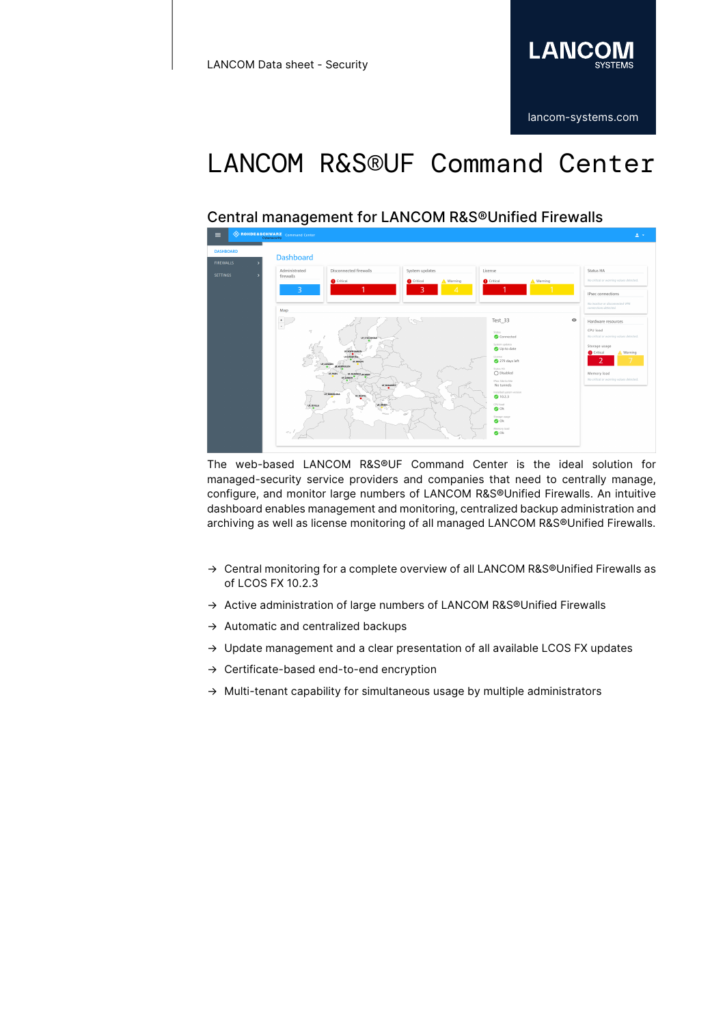

# LANCOM R&S®UF Command Center

### Central management for LANCOM R&S®Unified Firewalls



The web-based LANCOM R&S®UF Command Center is the ideal solution for managed-security service providers and companies that need to centrally manage, configure, and monitor large numbers of LANCOM R&S®Unified Firewalls. An intuitive dashboard enables management and monitoring, centralized backup administration and archiving as well as license monitoring of all managed LANCOM R&S®Unified Firewalls.

- $\rightarrow$  Central monitoring for a complete overview of all LANCOM R&S®Unified Firewalls as of LCOS FX 10.2.3
- → Active administration of large numbers of LANCOM R&S®Unified Firewalls
- → Automatic and centralized backups
- → Update management and a clear presentation of all available LCOS FX updates
- → Certificate-based end-to-end encryption
- → Multi-tenant capability for simultaneous usage by multiple administrators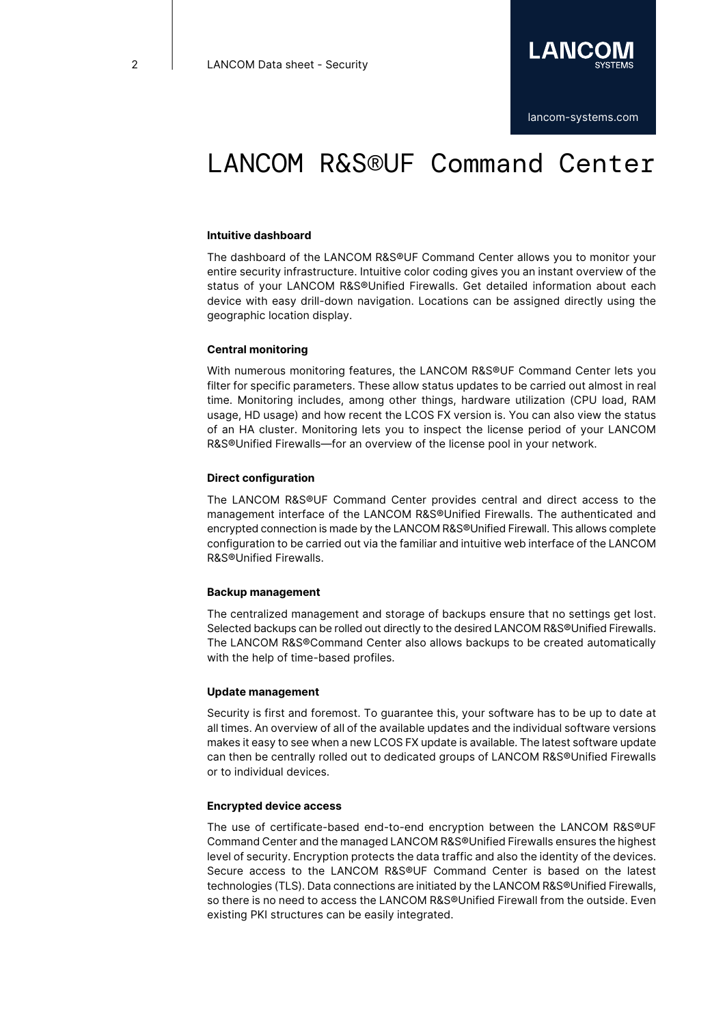

### LANCOM R&S®UF Command Center

#### **Intuitive dashboard**

The dashboard of the LANCOM R&S®UF Command Center allows you to monitor your entire security infrastructure. Intuitive color coding gives you an instant overview of the status of your LANCOM R&S®Unified Firewalls. Get detailed information about each device with easy drill-down navigation. Locations can be assigned directly using the geographic location display.

#### **Central monitoring**

With numerous monitoring features, the LANCOM R&S®UF Command Center lets you filter for specific parameters. These allow status updates to be carried out almost in real time. Monitoring includes, among other things, hardware utilization (CPU load, RAM usage, HD usage) and how recent the LCOS FX version is. You can also view the status of an HA cluster. Monitoring lets you to inspect the license period of your LANCOM R&S®Unified Firewalls—for an overview of the license pool in your network.

#### **Direct configuration**

The LANCOM R&S®UF Command Center provides central and direct access to the management interface of the LANCOM R&S®Unified Firewalls. The authenticated and encrypted connection is made by the LANCOM R&S®Unified Firewall. This allows complete configuration to be carried out via the familiar and intuitive web interface of the LANCOM R&S®Unified Firewalls.

#### **Backup management**

The centralized management and storage of backups ensure that no settings get lost. Selected backups can be rolled out directly to the desired LANCOM R&S®Unified Firewalls. The LANCOM R&S®Command Center also allows backups to be created automatically with the help of time-based profiles.

#### **Update management**

Security is first and foremost. To guarantee this, your software has to be up to date at all times. An overview of all of the available updates and the individual software versions makes it easy to see when a new LCOS FX update is available. The latest software update can then be centrally rolled out to dedicated groups of LANCOM R&S®Unified Firewalls or to individual devices.

#### **Encrypted device access**

The use of certificate-based end-to-end encryption between the LANCOM R&S®UF Command Center and the managed LANCOM R&S®Unified Firewalls ensures the highest level of security. Encryption protects the data traffic and also the identity of the devices. Secure access to the LANCOM R&S®UF Command Center is based on the latest technologies (TLS). Data connections are initiated by the LANCOM R&S®Unified Firewalls, so there is no need to access the LANCOM R&S®Unified Firewall from the outside. Even existing PKI structures can be easily integrated.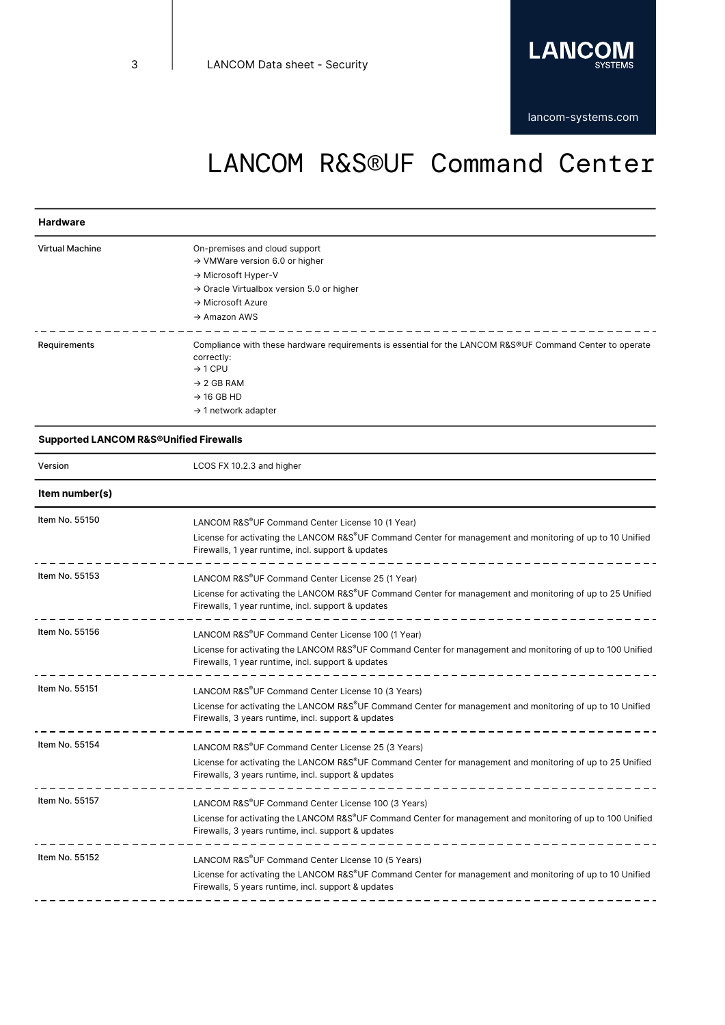

# LANCOM R&S®UF Command Center

#### **Hardware**

| <b>Virtual Machine</b> | On-premises and cloud support<br>$\rightarrow$ VMWare version 6.0 or higher<br>$\rightarrow$ Microsoft Hyper-V<br>$\rightarrow$ Oracle Virtualbox version 5.0 or higher<br>$\rightarrow$ Microsoft Azure<br>$\rightarrow$ Amazon AWS |
|------------------------|--------------------------------------------------------------------------------------------------------------------------------------------------------------------------------------------------------------------------------------|
| Requirements           | Compliance with these hardware requirements is essential for the LANCOM R&S®UF Command Center to operate<br>correctly:<br>$\rightarrow$ 1 CPU<br>$\rightarrow$ 2 GB RAM<br>$\rightarrow$ 16 GB HD<br>$\rightarrow$ 1 network adapter |

#### **Supported LANCOM R&S®Unified Firewalls**

| Version        | LCOS FX 10.2.3 and higher                                                                                                                                                                                                          |
|----------------|------------------------------------------------------------------------------------------------------------------------------------------------------------------------------------------------------------------------------------|
| Item number(s) |                                                                                                                                                                                                                                    |
| Item No. 55150 | LANCOM R&S®UF Command Center License 10 (1 Year)<br>License for activating the LANCOM R&S®UF Command Center for management and monitoring of up to 10 Unified<br>Firewalls, 1 year runtime, incl. support & updates                |
| Item No. 55153 | LANCOM R&S®UF Command Center License 25 (1 Year)<br>License for activating the LANCOM R&S®UF Command Center for management and monitoring of up to 25 Unified<br>Firewalls, 1 year runtime, incl. support & updates                |
| Item No. 55156 | LANCOM R&S®UF Command Center License 100 (1 Year)<br>License for activating the LANCOM R&S®UF Command Center for management and monitoring of up to 100 Unified<br>Firewalls, 1 year runtime, incl. support & updates              |
| Item No. 55151 | LANCOM R&S <sup>®</sup> UF Command Center License 10 (3 Years)<br>License for activating the LANCOM R&S®UF Command Center for management and monitoring of up to 10 Unified<br>Firewalls, 3 years runtime, incl. support & updates |
| Item No. 55154 | LANCOM R&S <sup>®</sup> UF Command Center License 25 (3 Years)<br>License for activating the LANCOM R&S®UF Command Center for management and monitoring of up to 25 Unified<br>Firewalls, 3 years runtime, incl. support & updates |
| Item No. 55157 | LANCOM R&S®UF Command Center License 100 (3 Years)<br>License for activating the LANCOM R&S®UF Command Center for management and monitoring of up to 100 Unified<br>Firewalls, 3 years runtime, incl. support & updates            |
| Item No. 55152 | LANCOM R&S <sup>®</sup> UF Command Center License 10 (5 Years)<br>License for activating the LANCOM R&S®UF Command Center for management and monitoring of up to 10 Unified<br>Firewalls, 5 years runtime, incl. support & updates |